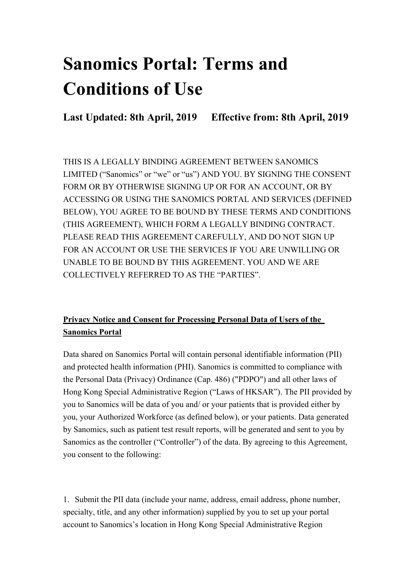# **Sanomics Portal: Terms and Conditions of Use**

**Last Updated: 8th April, 2019 Effective from: 8th April, 2019**

THIS IS A LEGALLY BINDING AGREEMENT BETWEEN SANOMICS LIMITED ("Sanomics" or "we" or "us") AND YOU. BY SIGNING THE CONSENT FORM OR BY OTHERWISE SIGNING UP OR FOR AN ACCOUNT, OR BY ACCESSING OR USING THE SANOMICS PORTAL AND SERVICES (DEFINED BELOW), YOU AGREE TO BE BOUND BY THESE TERMS AND CONDITIONS (THIS AGREEMENT), WHICH FORM A LEGALLY BINDING CONTRACT. PLEASE READ THIS AGREEMENT CAREFULLY, AND DO NOT SIGN UP FOR AN ACCOUNT OR USE THE SERVICES IF YOU ARE UNWILLING OR UNABLE TO BE BOUND BY THIS AGREEMENT. YOU AND WE ARE COLLECTIVELY REFERRED TO AS THE "PARTIES".

#### **Privacy Notice and Consent for Processing Personal Data of Users of the Sanomics Portal**

Data shared on Sanomics Portal will contain personal identifiable information (PII) and protected health information (PHI). Sanomics is committed to compliance with the Personal Data (Privacy) Ordinance (Cap. 486) ("PDPO") and all other laws of Hong Kong Special Administrative Region ("Laws of HKSAR"). The PII provided by you to Sanomics will be data of you and/ or your patients that is provided either by you, your Authorized Workforce (as defined below), or your patients. Data generated by Sanomics, such as patient test result reports, will be generated and sent to you by Sanomics as the controller ("Controller") of the data. By agreeing to this Agreement, you consent to the following:

1. Submit the PII data (include your name, address, email address, phone number, specialty, title, and any other information) supplied by you to set up your portal account to Sanomics's location in Hong Kong Special Administrative Region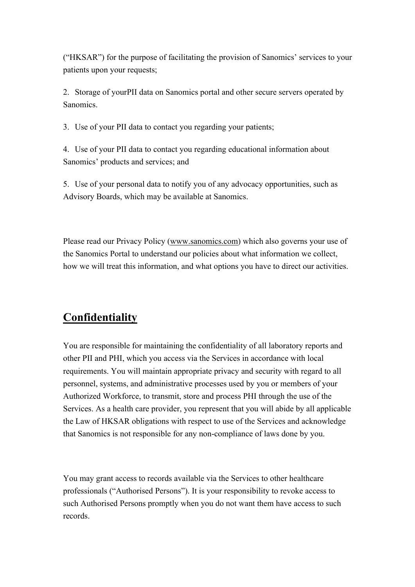("HKSAR") for the purpose of facilitating the provision of Sanomics' services to your patients upon your requests;

2. Storage of yourPII data on Sanomics portal and other secure servers operated by Sanomics.

3. Use of your PII data to contact you regarding your patients;

4. Use of your PII data to contact you regarding educational information about Sanomics' products and services; and

5. Use of your personal data to notify you of any advocacy opportunities, such as Advisory Boards, which may be available at Sanomics.

Please read our Privacy Policy (www.sanomics.com) which also governs your use of the Sanomics Portal to understand our policies about what information we collect, how we will treat this information, and what options you have to direct our activities.

# **Confidentiality**

You are responsible for maintaining the confidentiality of all laboratory reports and other PII and PHI, which you access via the Services in accordance with local requirements. You will maintain appropriate privacy and security with regard to all personnel, systems, and administrative processes used by you or members of your Authorized Workforce, to transmit, store and process PHI through the use of the Services. As a health care provider, you represent that you will abide by all applicable the Law of HKSAR obligations with respect to use of the Services and acknowledge that Sanomics is not responsible for any non-compliance of laws done by you.

You may grant access to records available via the Services to other healthcare professionals ("Authorised Persons"). It is your responsibility to revoke access to such Authorised Persons promptly when you do not want them have access to such records.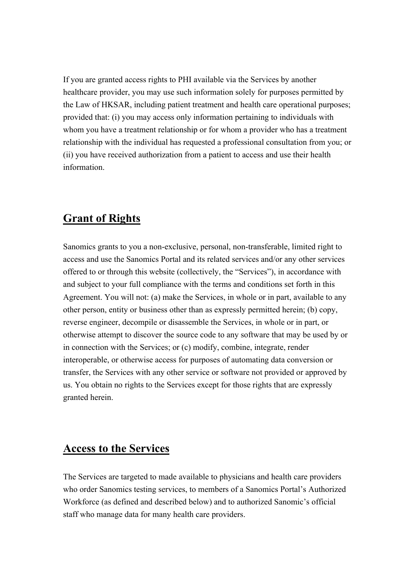If you are granted access rights to PHI available via the Services by another healthcare provider, you may use such information solely for purposes permitted by the Law of HKSAR, including patient treatment and health care operational purposes; provided that: (i) you may access only information pertaining to individuals with whom you have a treatment relationship or for whom a provider who has a treatment relationship with the individual has requested a professional consultation from you; or (ii) you have received authorization from a patient to access and use their health information.

## **Grant of Rights**

Sanomics grants to you a non-exclusive, personal, non-transferable, limited right to access and use the Sanomics Portal and its related services and/or any other services offered to or through this website (collectively, the "Services"), in accordance with and subject to your full compliance with the terms and conditions set forth in this Agreement. You will not: (a) make the Services, in whole or in part, available to any other person, entity or business other than as expressly permitted herein; (b) copy, reverse engineer, decompile or disassemble the Services, in whole or in part, or otherwise attempt to discover the source code to any software that may be used by or in connection with the Services; or (c) modify, combine, integrate, render interoperable, or otherwise access for purposes of automating data conversion or transfer, the Services with any other service or software not provided or approved by us. You obtain no rights to the Services except for those rights that are expressly granted herein.

## **Access to the Services**

The Services are targeted to made available to physicians and health care providers who order Sanomics testing services, to members of a Sanomics Portal's Authorized Workforce (as defined and described below) and to authorized Sanomic's official staff who manage data for many health care providers.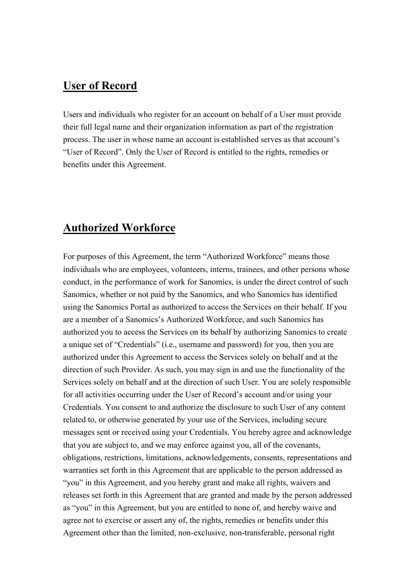#### **User of Record**

Users and individuals who register for an account on behalf of a User must provide their full legal name and their organization information as part of the registration process. The user in whose name an account is established serves as that account's "User of Record". Only the User of Record is entitled to the rights, remedies or benefits under this Agreement.

#### **Authorized Workforce**

For purposes of this Agreement, the term "Authorized Workforce" means those individuals who are employees, volunteers, interns, trainees, and other persons whose conduct, in the performance of work for Sanomics, is under the direct control of such Sanomics, whether or not paid by the Sanomics, and who Sanomics has identified using the Sanomics Portal as authorized to access the Services on their behalf. If you are a member of a Sanomics's Authorized Workforce, and such Sanomics has authorized you to access the Services on its behalf by authorizing Sanomics to create a unique set of "Credentials" (i.e., username and password) for you, then you are authorized under this Agreement to access the Services solely on behalf and at the direction of such Provider. As such, you may sign in and use the functionality of the Services solely on behalf and at the direction of such User. You are solely responsible for all activities occurring under the User of Record's account and/or using your Credentials. You consent to and authorize the disclosure to such User of any content related to, or otherwise generated by your use of the Services, including secure messages sent or received using your Credentials. You hereby agree and acknowledge that you are subject to, and we may enforce against you, all of the covenants, obligations, restrictions, limitations, acknowledgements, consents, representations and warranties set forth in this Agreement that are applicable to the person addressed as "you" in this Agreement, and you hereby grant and make all rights, waivers and releases set forth in this Agreement that are granted and made by the person addressed as "you" in this Agreement, but you are entitled to none of, and hereby waive and agree not to exercise or assert any of, the rights, remedies or benefits under this Agreement other than the limited, non-exclusive, non-transferable, personal right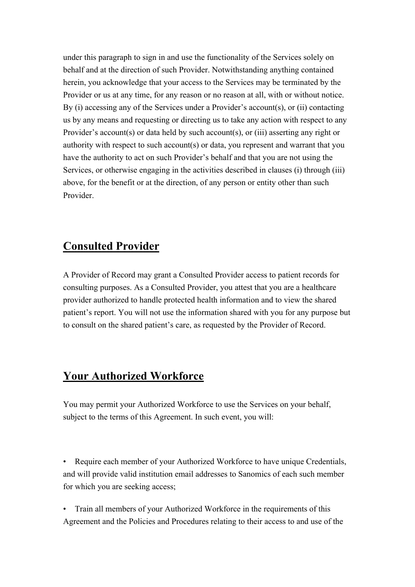under this paragraph to sign in and use the functionality of the Services solely on behalf and at the direction of such Provider. Notwithstanding anything contained herein, you acknowledge that your access to the Services may be terminated by the Provider or us at any time, for any reason or no reason at all, with or without notice. By (i) accessing any of the Services under a Provider's account(s), or (ii) contacting us by any means and requesting or directing us to take any action with respect to any Provider's account(s) or data held by such account(s), or (iii) asserting any right or authority with respect to such account(s) or data, you represent and warrant that you have the authority to act on such Provider's behalf and that you are not using the Services, or otherwise engaging in the activities described in clauses (i) through (iii) above, for the benefit or at the direction, of any person or entity other than such Provider.

## **Consulted Provider**

A Provider of Record may grant a Consulted Provider access to patient records for consulting purposes. As a Consulted Provider, you attest that you are a healthcare provider authorized to handle protected health information and to view the shared patient's report. You will not use the information shared with you for any purpose but to consult on the shared patient's care, as requested by the Provider of Record.

# **Your Authorized Workforce**

You may permit your Authorized Workforce to use the Services on your behalf, subject to the terms of this Agreement. In such event, you will:

• Require each member of your Authorized Workforce to have unique Credentials, and will provide valid institution email addresses to Sanomics of each such member for which you are seeking access;

• Train all members of your Authorized Workforce in the requirements of this Agreement and the Policies and Procedures relating to their access to and use of the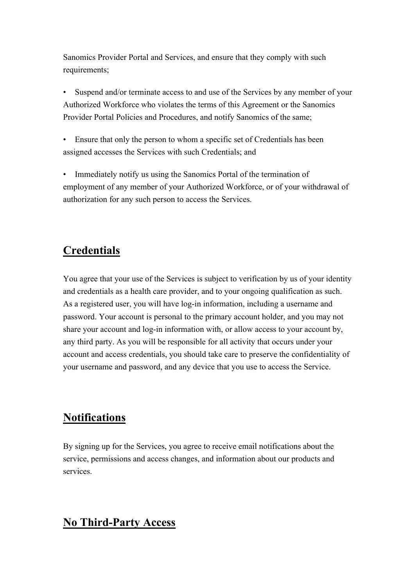Sanomics Provider Portal and Services, and ensure that they comply with such requirements;

Suspend and/or terminate access to and use of the Services by any member of your Authorized Workforce who violates the terms of this Agreement or the Sanomics Provider Portal Policies and Procedures, and notify Sanomics of the same;

• Ensure that only the person to whom a specific set of Credentials has been assigned accesses the Services with such Credentials; and

• Immediately notify us using the Sanomics Portal of the termination of employment of any member of your Authorized Workforce, or of your withdrawal of authorization for any such person to access the Services.

# **Credentials**

You agree that your use of the Services is subject to verification by us of your identity and credentials as a health care provider, and to your ongoing qualification as such. As a registered user, you will have log-in information, including a username and password. Your account is personal to the primary account holder, and you may not share your account and log-in information with, or allow access to your account by, any third party. As you will be responsible for all activity that occurs under your account and access credentials, you should take care to preserve the confidentiality of your username and password, and any device that you use to access the Service.

# **Notifications**

By signing up for the Services, you agree to receive email notifications about the service, permissions and access changes, and information about our products and services.

# **No Third-Party Access**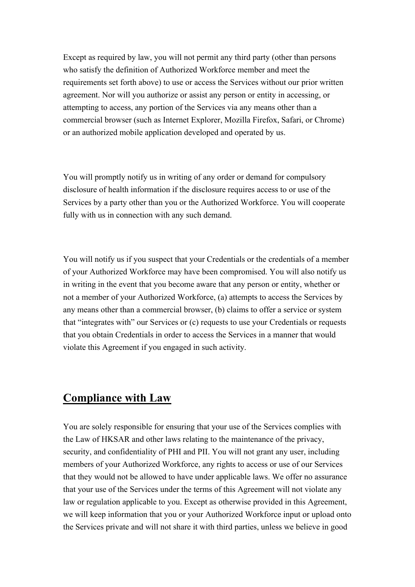Except as required by law, you will not permit any third party (other than persons who satisfy the definition of Authorized Workforce member and meet the requirements set forth above) to use or access the Services without our prior written agreement. Nor will you authorize or assist any person or entity in accessing, or attempting to access, any portion of the Services via any means other than a commercial browser (such as Internet Explorer, Mozilla Firefox, Safari, or Chrome) or an authorized mobile application developed and operated by us.

You will promptly notify us in writing of any order or demand for compulsory disclosure of health information if the disclosure requires access to or use of the Services by a party other than you or the Authorized Workforce. You will cooperate fully with us in connection with any such demand.

You will notify us if you suspect that your Credentials or the credentials of a member of your Authorized Workforce may have been compromised. You will also notify us in writing in the event that you become aware that any person or entity, whether or not a member of your Authorized Workforce, (a) attempts to access the Services by any means other than a commercial browser, (b) claims to offer a service or system that "integrates with" our Services or (c) requests to use your Credentials or requests that you obtain Credentials in order to access the Services in a manner that would violate this Agreement if you engaged in such activity.

### **Compliance with Law**

You are solely responsible for ensuring that your use of the Services complies with the Law of HKSAR and other laws relating to the maintenance of the privacy, security, and confidentiality of PHI and PII. You will not grant any user, including members of your Authorized Workforce, any rights to access or use of our Services that they would not be allowed to have under applicable laws. We offer no assurance that your use of the Services under the terms of this Agreement will not violate any law or regulation applicable to you. Except as otherwise provided in this Agreement, we will keep information that you or your Authorized Workforce input or upload onto the Services private and will not share it with third parties, unless we believe in good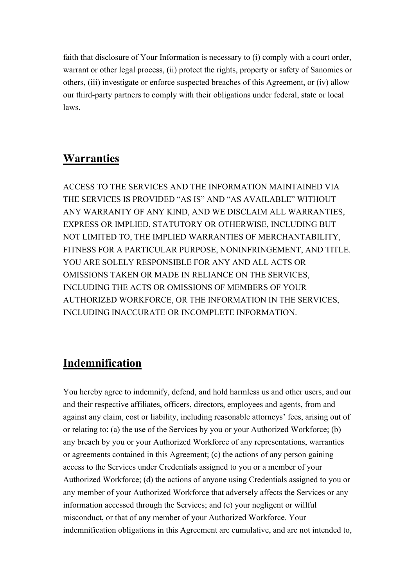faith that disclosure of Your Information is necessary to (i) comply with a court order, warrant or other legal process, (ii) protect the rights, property or safety of Sanomics or others, (iii) investigate or enforce suspected breaches of this Agreement, or (iv) allow our third-party partners to comply with their obligations under federal, state or local laws.

## **Warranties**

ACCESS TO THE SERVICES AND THE INFORMATION MAINTAINED VIA THE SERVICES IS PROVIDED "AS IS" AND "AS AVAILABLE" WITHOUT ANY WARRANTY OF ANY KIND, AND WE DISCLAIM ALL WARRANTIES, EXPRESS OR IMPLIED, STATUTORY OR OTHERWISE, INCLUDING BUT NOT LIMITED TO, THE IMPLIED WARRANTIES OF MERCHANTABILITY, FITNESS FOR A PARTICULAR PURPOSE, NONINFRINGEMENT, AND TITLE. YOU ARE SOLELY RESPONSIBLE FOR ANY AND ALL ACTS OR OMISSIONS TAKEN OR MADE IN RELIANCE ON THE SERVICES, INCLUDING THE ACTS OR OMISSIONS OF MEMBERS OF YOUR AUTHORIZED WORKFORCE, OR THE INFORMATION IN THE SERVICES, INCLUDING INACCURATE OR INCOMPLETE INFORMATION.

## **Indemnification**

You hereby agree to indemnify, defend, and hold harmless us and other users, and our and their respective affiliates, officers, directors, employees and agents, from and against any claim, cost or liability, including reasonable attorneys' fees, arising out of or relating to: (a) the use of the Services by you or your Authorized Workforce; (b) any breach by you or your Authorized Workforce of any representations, warranties or agreements contained in this Agreement; (c) the actions of any person gaining access to the Services under Credentials assigned to you or a member of your Authorized Workforce; (d) the actions of anyone using Credentials assigned to you or any member of your Authorized Workforce that adversely affects the Services or any information accessed through the Services; and (e) your negligent or willful misconduct, or that of any member of your Authorized Workforce. Your indemnification obligations in this Agreement are cumulative, and are not intended to,